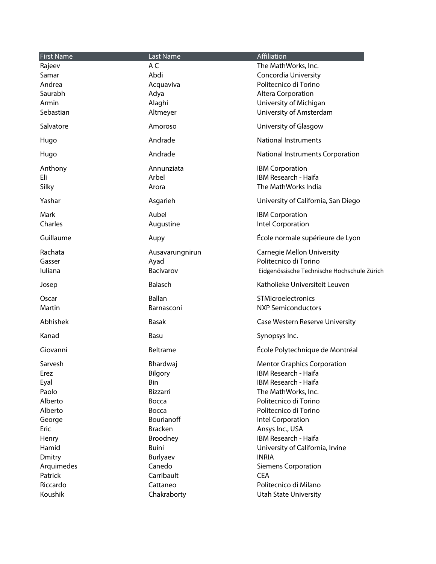| <b>First Name</b> | Last Name       | Affiliation                                 |
|-------------------|-----------------|---------------------------------------------|
| Rajeev            | A C             | The MathWorks, Inc.                         |
| Samar             | Abdi            | Concordia University                        |
| Andrea            | Acquaviva       | Politecnico di Torino                       |
| Saurabh           | Adya            | Altera Corporation                          |
| Armin             | Alaghi          | University of Michigan                      |
| Sebastian         | Altmeyer        | University of Amsterdam                     |
|                   |                 |                                             |
| Salvatore         | Amoroso         | University of Glasgow                       |
| Hugo              | Andrade         | <b>National Instruments</b>                 |
| Hugo              | Andrade         | National Instruments Corporation            |
| Anthony           | Annunziata      | <b>IBM Corporation</b>                      |
| Eli               | Arbel           | IBM Research - Haifa                        |
| Silky             | Arora           | The MathWorks India                         |
| Yashar            | Asgarieh        | University of California, San Diego         |
| Mark              | Aubel           | <b>IBM Corporation</b>                      |
| Charles           | Augustine       | Intel Corporation                           |
|                   |                 |                                             |
| Guillaume         | Aupy            | École normale supérieure de Lyon            |
| Rachata           | Ausavarungnirun | <b>Carnegie Mellon University</b>           |
| Gasser            | Ayad            | Politecnico di Torino                       |
| Iuliana           | Bacivarov       | Eidgenössische Technische Hochschule Zürich |
| Josep             | <b>Balasch</b>  | Katholieke Universiteit Leuven              |
| Oscar             | <b>Ballan</b>   | STMicroelectronics                          |
| Martin            | Barnasconi      | <b>NXP Semiconductors</b>                   |
|                   |                 |                                             |
| Abhishek          | <b>Basak</b>    | Case Western Reserve University             |
| Kanad             | Basu            | Synopsys Inc.                               |
| Giovanni          | <b>Beltrame</b> | École Polytechnique de Montréal             |
| Sarvesh           | Bhardwaj        | <b>Mentor Graphics Corporation</b>          |
| Erez              | Bilgory         | IBM Research - Haifa                        |
| Eyal              | Bin             | IBM Research - Haifa                        |
| Paolo             | Bizzarri        | The MathWorks, Inc.                         |
| Alberto           | Bocca           | Politecnico di Torino                       |
| Alberto           | Bocca           | Politecnico di Torino                       |
| George            | Bourianoff      | Intel Corporation                           |
| Eric              | <b>Bracken</b>  | Ansys Inc., USA                             |
| Henry             | Broodney        | IBM Research - Haifa                        |
| Hamid             | Buini           | University of California, Irvine            |
| Dmitry            | Burlyaev        | <b>INRIA</b>                                |
| Arquimedes        | Canedo          | <b>Siemens Corporation</b>                  |
| Patrick           | Carribault      | <b>CEA</b>                                  |
| Riccardo          | Cattaneo        | Politecnico di Milano                       |
| Koushik           | Chakraborty     | <b>Utah State University</b>                |
|                   |                 |                                             |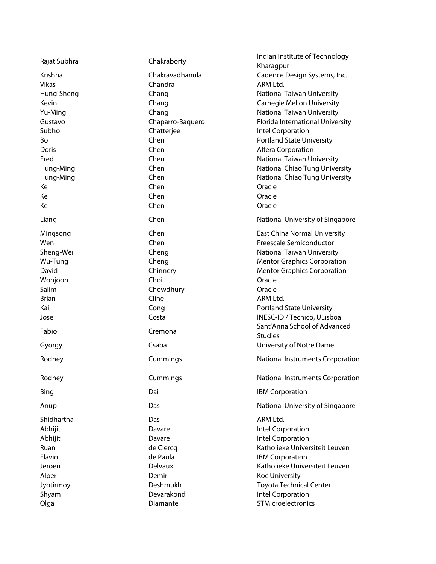| Rajat Subhra | Chakraborty      | Indian Institute of Technology<br>Kharagpur |
|--------------|------------------|---------------------------------------------|
| Krishna      | Chakravadhanula  | Cadence Design Systems, Inc.                |
| <b>Vikas</b> | Chandra          | ARM Ltd.                                    |
| Hung-Sheng   | Chang            | National Taiwan University                  |
| Kevin        | Chang            | <b>Carnegie Mellon University</b>           |
| Yu-Ming      | Chang            | <b>National Taiwan University</b>           |
| Gustavo      | Chaparro-Baquero | Florida International University            |
| Subho        | Chatterjee       | Intel Corporation                           |
| Bo           | Chen             | <b>Portland State University</b>            |
| Doris        | Chen             | Altera Corporation                          |
| Fred         | Chen             | <b>National Taiwan University</b>           |
| Hung-Ming    | Chen             | National Chiao Tung University              |
| Hung-Ming    | Chen             | National Chiao Tung University              |
| Ke           | Chen             | Oracle                                      |
| Ke           | Chen             | Oracle                                      |
|              | Chen             |                                             |
| Ke           |                  | Oracle                                      |
| Liang        | Chen             | National University of Singapore            |
| Mingsong     | Chen             | <b>East China Normal University</b>         |
| Wen          | Chen             | <b>Freescale Semiconductor</b>              |
| Sheng-Wei    | Cheng            | <b>National Taiwan University</b>           |
| Wu-Tung      | Cheng            | <b>Mentor Graphics Corporation</b>          |
| David        | Chinnery         | <b>Mentor Graphics Corporation</b>          |
| Wonjoon      | Choi             | Oracle                                      |
| Salim        | Chowdhury        | Oracle                                      |
| <b>Brian</b> | Cline            | ARM Ltd.                                    |
| Kai          | Cong             | <b>Portland State University</b>            |
| Jose         | Costa            | INESC-ID / Tecnico, ULisboa                 |
|              |                  | Sant'Anna School of Advanced                |
| Fabio        | Cremona          | <b>Studies</b>                              |
| György       | Csaba            | University of Notre Dame                    |
| Rodney       | Cummings         | National Instruments Corporation            |
| Rodney       | Cummings         | National Instruments Corporation            |
| Bing         | Dai              | <b>IBM Corporation</b>                      |
| Anup         | Das              | National University of Singapore            |
| Shidhartha   | Das              | ARM Ltd.                                    |
| Abhijit      | Davare           | Intel Corporation                           |
| Abhijit      | Davare           | Intel Corporation                           |
| Ruan         | de Clercq        | Katholieke Universiteit Leuven              |
| Flavio       | de Paula         | <b>IBM Corporation</b>                      |
| Jeroen       | Delvaux          | Katholieke Universiteit Leuven              |
| Alper        | Demir            | Koc University                              |
| Jyotirmoy    | Deshmukh         | <b>Toyota Technical Center</b>              |
| Shyam        | Devarakond       | Intel Corporation                           |
| Olga         | Diamante         | STMicroelectronics                          |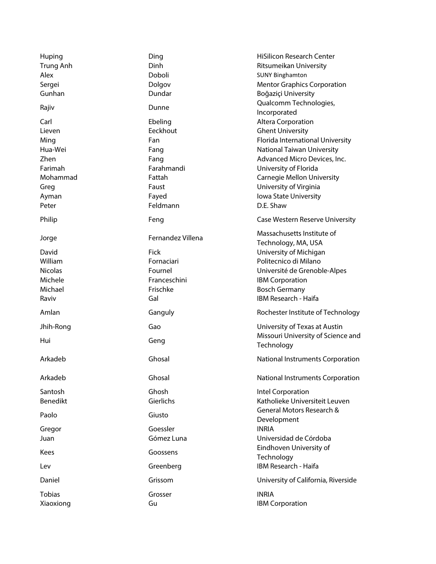| Huping<br><b>Trung Anh</b><br>Alex<br>Sergei<br>Gunhan                            | Ding<br>Dinh<br>Doboli<br>Dolgov<br>Dundar                                                   | <b>HiSilicon Research Center</b><br>Ritsumeikan University<br><b>SUNY Binghamton</b><br><b>Mentor Graphics Corporation</b><br>Boğaziçi University<br>Qualcomm Technologies,                                                                                             |
|-----------------------------------------------------------------------------------|----------------------------------------------------------------------------------------------|-------------------------------------------------------------------------------------------------------------------------------------------------------------------------------------------------------------------------------------------------------------------------|
| Rajiv                                                                             | Dunne                                                                                        | Incorporated                                                                                                                                                                                                                                                            |
| Carl<br>Lieven<br>Ming<br>Hua-Wei<br>Zhen<br>Farimah<br>Mohammad<br>Greg<br>Ayman | Ebeling<br>Eeckhout<br>Fan<br>Fang<br>Fang<br>Farahmandi<br>Fattah<br>Faust<br>Fayed         | Altera Corporation<br><b>Ghent University</b><br>Florida International University<br><b>National Taiwan University</b><br>Advanced Micro Devices, Inc.<br>University of Florida<br><b>Carnegie Mellon University</b><br>University of Virginia<br>Iowa State University |
| Peter                                                                             | Feldmann                                                                                     | D.E. Shaw                                                                                                                                                                                                                                                               |
| Philip                                                                            | Feng                                                                                         | Case Western Reserve University                                                                                                                                                                                                                                         |
| Jorge<br>David<br>William<br><b>Nicolas</b><br>Michele<br>Michael<br>Raviv        | Fernandez Villena<br><b>Fick</b><br>Fornaciari<br>Fournel<br>Franceschini<br>Frischke<br>Gal | Massachusetts Institute of<br>Technology, MA, USA<br>University of Michigan<br>Politecnico di Milano<br>Université de Grenoble-Alpes<br><b>IBM Corporation</b><br><b>Bosch Germany</b><br><b>IBM Research - Haifa</b>                                                   |
| Amlan                                                                             | Ganguly                                                                                      | Rochester Institute of Technology                                                                                                                                                                                                                                       |
| Jhih-Rong<br>Hui                                                                  | Gao<br>Geng                                                                                  | University of Texas at Austin<br>Missouri University of Science and<br>Technology                                                                                                                                                                                       |
| Arkadeb                                                                           | Ghosal                                                                                       | National Instruments Corporation                                                                                                                                                                                                                                        |
| Arkadeb                                                                           | Ghosal                                                                                       | National Instruments Corporation                                                                                                                                                                                                                                        |
| Santosh<br><b>Benedikt</b>                                                        | Ghosh<br>Gierlichs                                                                           | Intel Corporation<br>Katholieke Universiteit Leuven                                                                                                                                                                                                                     |
| Paolo                                                                             | Giusto                                                                                       | General Motors Research &<br>Development                                                                                                                                                                                                                                |
| Gregor<br>Juan                                                                    | Goessler<br>Gómez Luna                                                                       | <b>INRIA</b><br>Universidad de Córdoba                                                                                                                                                                                                                                  |
| Kees                                                                              | Goossens                                                                                     | Eindhoven University of<br>Technology                                                                                                                                                                                                                                   |
| Lev                                                                               | Greenberg                                                                                    | IBM Research - Haifa                                                                                                                                                                                                                                                    |
| Daniel                                                                            | Grissom                                                                                      | University of California, Riverside                                                                                                                                                                                                                                     |
| <b>Tobias</b><br>Xiaoxiong                                                        | Grosser<br>Gu                                                                                | <b>INRIA</b><br><b>IBM Corporation</b>                                                                                                                                                                                                                                  |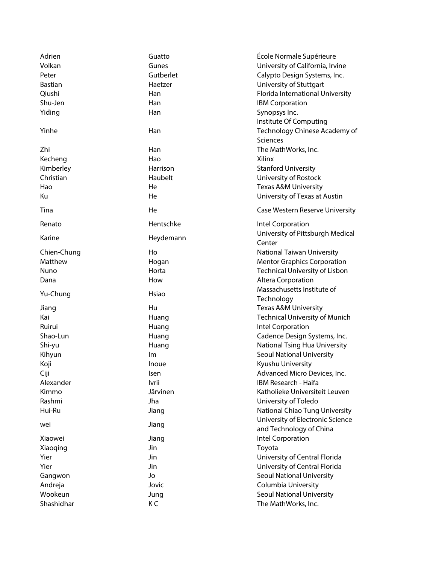| Adrien         | Guatto    | École Normale Supérieure                   |
|----------------|-----------|--------------------------------------------|
| Volkan         | Gunes     | University of California, Irvine           |
| Peter          | Gutberlet | Calypto Design Systems, Inc.               |
| <b>Bastian</b> | Haetzer   | University of Stuttgart                    |
| Qiushi         | Han       | Florida International University           |
| Shu-Jen        | Han       | <b>IBM Corporation</b>                     |
| Yiding         | Han       | Synopsys Inc.                              |
|                |           | Institute Of Computing                     |
| Yinhe          | Han       | Technology Chinese Academy of              |
|                |           | Sciences                                   |
| Zhi            | Han       | The MathWorks, Inc.                        |
| Kecheng        | Hao       | Xilinx                                     |
| Kimberley      | Harrison  | <b>Stanford University</b>                 |
| Christian      | Haubelt   | University of Rostock                      |
| Hao            | He        | <b>Texas A&amp;M University</b>            |
| Ku             | He        | University of Texas at Austin              |
|                |           |                                            |
| Tina           | He        | Case Western Reserve University            |
| Renato         | Hentschke | Intel Corporation                          |
| Karine         | Heydemann | University of Pittsburgh Medical<br>Center |
| Chien-Chung    | Ho        | National Taiwan University                 |
| Matthew        | Hogan     | <b>Mentor Graphics Corporation</b>         |
| Nuno           | Horta     | Technical University of Lisbon             |
| Dana           | How       | Altera Corporation                         |
|                |           | Massachusetts Institute of                 |
| Yu-Chung       | Hsiao     | Technology                                 |
| Jiang          | Hu        | <b>Texas A&amp;M University</b>            |
| Kai            | Huang     | <b>Technical University of Munich</b>      |
| Ruirui         | Huang     | Intel Corporation                          |
| Shao-Lun       | Huang     | Cadence Design Systems, Inc.               |
| Shi-yu         | Huang     | National Tsing Hua University              |
| Kihyun         | lm        | Seoul National University                  |
| Koji           | Inoue     | Kyushu University                          |
| Ciji           | Isen      | Advanced Micro Devices, Inc.               |
| Alexander      | lvrii     | IBM Research - Haifa                       |
| Kimmo          | Järvinen  | Katholieke Universiteit Leuven             |
| Rashmi         | Jha       | University of Toledo                       |
| Hui-Ru         | Jiang     | National Chiao Tung University             |
|                |           | University of Electronic Science           |
| wei            | Jiang     | and Technology of China                    |
| Xiaowei        | Jiang     | Intel Corporation                          |
| Xiaoqing       | Jin       | Toyota                                     |
| Yier           | Jin       | University of Central Florida              |
| Yier           | Jin       | University of Central Florida              |
| Gangwon        | Jo        | <b>Seoul National University</b>           |
| Andreja        | Jovic     | Columbia University                        |
| Wookeun        | Jung      | <b>Seoul National University</b>           |
| Shashidhar     | КC        | The MathWorks, Inc.                        |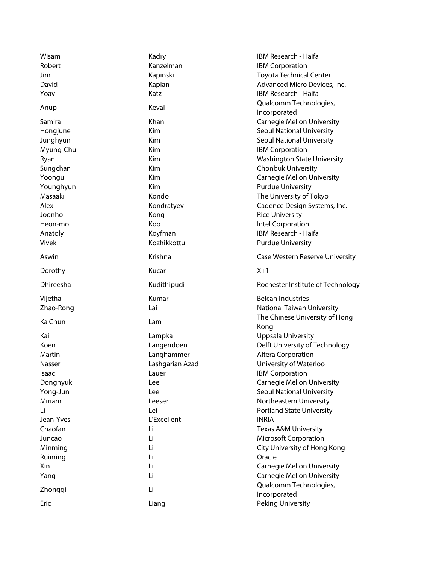| Wisam<br>Robert | Kadry<br>Kanzelman | <b>IBM Research - Haifa</b><br><b>IBM Corporation</b> |
|-----------------|--------------------|-------------------------------------------------------|
| Jim             | Kapinski           | <b>Toyota Technical Center</b>                        |
| David           | Kaplan             | Advanced Micro Devices, Inc.                          |
| Yoav            | Katz               | IBM Research - Haifa                                  |
|                 |                    | Qualcomm Technologies,                                |
| Anup            | Keval              | Incorporated                                          |
| Samira          | Khan               | <b>Carnegie Mellon University</b>                     |
|                 | Kim                | Seoul National University                             |
| Hongjune        | Kim                | Seoul National University                             |
| Junghyun        | Kim                |                                                       |
| Myung-Chul      |                    | <b>IBM Corporation</b>                                |
| Ryan            | Kim                | <b>Washington State University</b>                    |
| Sungchan        | Kim                | Chonbuk University                                    |
| Yoongu          | Kim                | <b>Carnegie Mellon University</b>                     |
| Younghyun       | Kim                | <b>Purdue University</b>                              |
| Masaaki         | Kondo              | The University of Tokyo                               |
| Alex            | Kondratyev         | Cadence Design Systems, Inc.                          |
| Joonho          | Kong               | <b>Rice University</b>                                |
| Heon-mo         | Koo                | Intel Corporation                                     |
| Anatoly         | Koyfman            | IBM Research - Haifa                                  |
| Vivek           | Kozhikkottu        | <b>Purdue University</b>                              |
| Aswin           | Krishna            | Case Western Reserve University                       |
| Dorothy         | Kucar              | $X+1$                                                 |
|                 |                    |                                                       |
| Dhireesha       | Kudithipudi        | Rochester Institute of Technology                     |
| Vijetha         | Kumar              | <b>Belcan Industries</b>                              |
| Zhao-Rong       | Lai                | National Taiwan University                            |
|                 |                    | The Chinese University of Hong                        |
| Ka Chun         | Lam                | Kong                                                  |
| Kai             | Lampka             | <b>Uppsala University</b>                             |
| Koen            | Langendoen         | Delft University of Technology                        |
| Martin          | Langhammer         | Altera Corporation                                    |
| Nasser          | Lashgarian Azad    | University of Waterloo                                |
| Isaac           | Lauer              | <b>IBM Corporation</b>                                |
| Donghyuk        | Lee                | <b>Carnegie Mellon University</b>                     |
| Yong-Jun        | Lee                | <b>Seoul National University</b>                      |
| Miriam          | Leeser             | Northeastern University                               |
| Τi              | Lei                | <b>Portland State University</b>                      |
| Jean-Yves       | L'Excellent        | <b>INRIA</b>                                          |
| Chaofan         | Li                 | <b>Texas A&amp;M University</b>                       |
| Juncao          | Li                 | <b>Microsoft Corporation</b>                          |
| Minming         | Li                 | City University of Hong Kong                          |
| Ruiming         | Li                 | Oracle                                                |
| Xin             | Li                 | <b>Carnegie Mellon University</b>                     |
| Yang            | Li                 | <b>Carnegie Mellon University</b>                     |
|                 | Li                 | Qualcomm Technologies,                                |
| Zhongqi<br>Eric | Liang              | Incorporated<br>Peking University                     |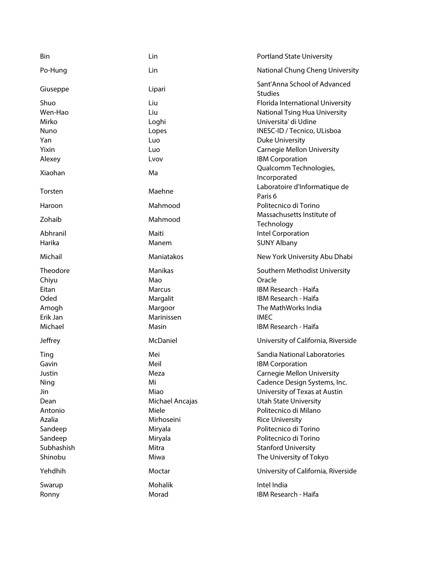| Bin         | Lin             | <b>Portland State University</b>                    |
|-------------|-----------------|-----------------------------------------------------|
| Po-Hung     | Lin             | National Chung Cheng University                     |
| Giuseppe    | Lipari          | Sant'Anna School of Advanced<br><b>Studies</b>      |
| Shuo        | Liu             | Florida International University                    |
| Wen-Hao     | Liu             | National Tsing Hua University                       |
| Mirko       | Loghi           | Universita' di Udine                                |
| <b>Nuno</b> | Lopes           | INESC-ID / Tecnico, ULisboa                         |
| Yan         | Luo             | <b>Duke University</b>                              |
| Yixin       | Luo             | <b>Carnegie Mellon University</b>                   |
| Alexey      | Lvov            | <b>IBM Corporation</b>                              |
| Xiaohan     | Ma              | Qualcomm Technologies,<br>Incorporated              |
| Torsten     | Maehne          | Laboratoire d'Informatique de<br>Paris <sub>6</sub> |
| Haroon      | Mahmood         | Politecnico di Torino                               |
| Zohaib      | Mahmood         | Massachusetts Institute of<br>Technology            |
| Abhranil    | Maiti           | Intel Corporation                                   |
| Harika      | Manem           | <b>SUNY Albany</b>                                  |
| Michail     | Maniatakos      | New York University Abu Dhabi                       |
| Theodore    | Manikas         | Southern Methodist University                       |
| Chiyu       | Mao             | Oracle                                              |
| Eitan       | Marcus          | IBM Research - Haifa                                |
| Oded        | Margalit        | IBM Research - Haifa                                |
| Amogh       | Margoor         | The MathWorks India                                 |
| Erik Jan    | Marinissen      | <b>IMEC</b>                                         |
| Michael     | Masin           | IBM Research - Haifa                                |
| Jeffrey     | McDaniel        | University of California, Riverside                 |
| Ting        | Mei             | Sandia National Laboratories                        |
| Gavin       | Meil            | <b>IBM Corporation</b>                              |
| Justin      | Meza            | <b>Carnegie Mellon University</b>                   |
| Ning        | Mi              | Cadence Design Systems, Inc.                        |
| Jin         | Miao            | University of Texas at Austin                       |
| Dean        | Michael Ancajas | <b>Utah State University</b>                        |
| Antonio     | Miele           | Politecnico di Milano                               |
| Azalia      | Mirhoseini      | <b>Rice University</b>                              |
| Sandeep     | Miryala         | Politecnico di Torino                               |
| Sandeep     | Miryala         | Politecnico di Torino                               |
| Subhashish  | Mitra           | <b>Stanford University</b>                          |
| Shinobu     | Miwa            | The University of Tokyo                             |
| Yehdhih     | Moctar          | University of California, Riverside                 |
| Swarup      | Mohalik         | Intel India                                         |
| Ronny       | Morad           | IBM Research - Haifa                                |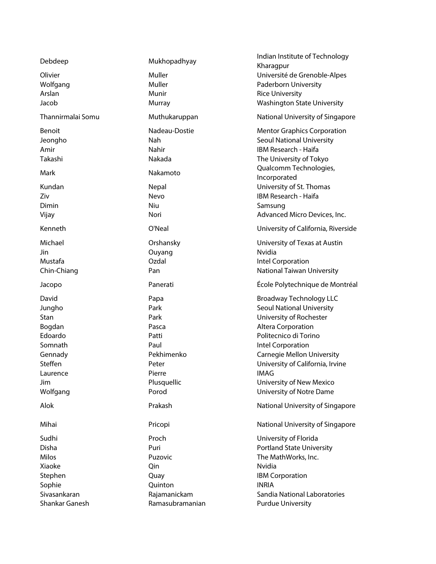| Debdeep           | Mukhopadhyay  | Indian Institute of Technology<br>Kharagpur |
|-------------------|---------------|---------------------------------------------|
| Olivier           | Muller        | Université de Grenoble-Alpes                |
| Wolfgang          | Muller        | Paderborn University                        |
| Arslan            | Munir         | <b>Rice University</b>                      |
| Jacob             | Murray        | <b>Washington State University</b>          |
|                   |               |                                             |
| Thannirmalai Somu | Muthukaruppan | National University of Singapore            |
| Benoit            | Nadeau-Dostie | <b>Mentor Graphics Corporation</b>          |
| Jeongho           | Nah           | <b>Seoul National University</b>            |
| Amir              | Nahir         | IBM Research - Haifa                        |
| Takashi           | Nakada        | The University of Tokyo                     |
| Mark              | Nakamoto      | Qualcomm Technologies,<br>Incorporated      |
| Kundan            | Nepal         | University of St. Thomas                    |
| Ziv               | Nevo          | IBM Research - Haifa                        |
| Dimin             | Niu           | Samsung                                     |
| Vijay             | Nori          | Advanced Micro Devices, Inc.                |
| Kenneth           | O'Neal        | University of California, Riverside         |
| Michael           | Orshansky     | University of Texas at Austin               |
| Jin               | Ouyang        | Nvidia                                      |
| Mustafa           | Ozdal         | Intel Corporation                           |
| Chin-Chiang       | Pan           | National Taiwan University                  |
|                   |               |                                             |
| Jacopo            | Panerati      | École Polytechnique de Montréal             |
|                   |               |                                             |
| David             | Papa          | <b>Broadway Technology LLC</b>              |
| Jungho            | Park          | <b>Seoul National University</b>            |
| Stan              | Park          | University of Rochester                     |
| Bogdan            | Pasca         | Altera Corporation                          |
| Edoardo           | Patti         | Politecnico di Torino                       |
| Somnath           | Paul          | Intel Corporation                           |
| Gennady           | Pekhimenko    | <b>Carnegie Mellon University</b>           |
| Steffen           | Peter         | University of California, Irvine            |
| Laurence          | Pierre        | <b>IMAG</b>                                 |
| Jim               | Plusquellic   | University of New Mexico                    |
| Wolfgang          | Porod         | University of Notre Dame                    |
| Alok              | Prakash       | National University of Singapore            |
| Mihai             | Pricopi       | National University of Singapore            |
| Sudhi             | Proch         | University of Florida                       |
| Disha             | Puri          | <b>Portland State University</b>            |
| Milos             | Puzovic       | The MathWorks, Inc.                         |
| Xiaoke            | Qin           | Nvidia                                      |
| Stephen           | Quay          | <b>IBM Corporation</b>                      |
| Sophie            | Quinton       | <b>INRIA</b>                                |
| Sivasankaran      | Rajamanickam  | Sandia National Laboratories                |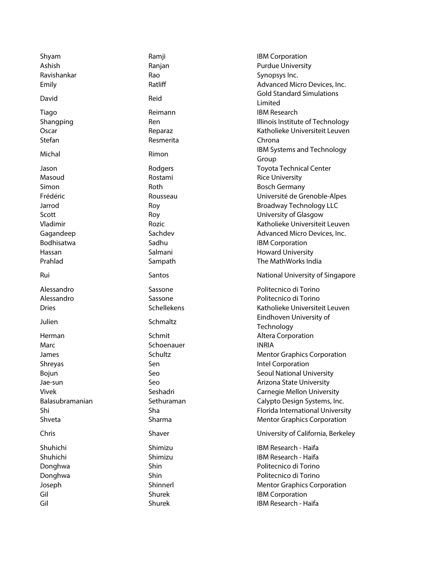| Shyam<br>Ashish      | Ramji<br>Ranjan  | <b>IBM Corporation</b><br><b>Purdue University</b>    |
|----------------------|------------------|-------------------------------------------------------|
| Ravishankar          | Rao              | Synopsys Inc.                                         |
| Emily                | Ratliff          | Advanced Micro Devices, Inc.                          |
| David                | Reid             | <b>Gold Standard Simulations</b><br>Limited           |
| Tiago                | Reimann          | <b>IBM Research</b>                                   |
| Shangping            | Ren              | Illinois Institute of Technology                      |
| Oscar                | Reparaz          | Katholieke Universiteit Leuven                        |
| Stefan               | Resmerita        | Chrona                                                |
| Michal               | Rimon            | IBM Systems and Technology<br>Group                   |
| Jason                | Rodgers          | <b>Toyota Technical Center</b>                        |
| Masoud               | Rostami          | <b>Rice University</b>                                |
| Simon                | Roth             | <b>Bosch Germany</b>                                  |
| Frédéric             | Rousseau         | Université de Grenoble-Alpes                          |
| Jarrod               | Roy              | <b>Broadway Technology LLC</b>                        |
| Scott                | Roy              | University of Glasgow                                 |
| Vladimir             | Rozic            | Katholieke Universiteit Leuven                        |
| Gagandeep            | Sachdev          | Advanced Micro Devices, Inc.                          |
| Bodhisatwa<br>Hassan | Sadhu<br>Salmani | <b>IBM Corporation</b><br><b>Howard University</b>    |
| Prahlad              | Sampath          | The MathWorks India                                   |
|                      |                  |                                                       |
| Rui                  | Santos           | National University of Singapore                      |
| Alessandro           | Sassone          | Politecnico di Torino                                 |
| Alessandro           | Sassone          | Politecnico di Torino                                 |
| <b>Dries</b>         | Schellekens      | Katholieke Universiteit Leuven                        |
| Julien               | Schmaltz         | Eindhoven University of                               |
|                      |                  | Technology                                            |
| Herman               | Schmit           | Altera Corporation                                    |
| Marc                 | Schoenauer       | <b>INRIA</b>                                          |
| James                | Schultz<br>Sen   | <b>Mentor Graphics Corporation</b>                    |
| Shreyas              |                  | Intel Corporation<br><b>Seoul National University</b> |
| Bojun<br>Jae-sun     | Seo<br>Seo       | Arizona State University                              |
| Vivek                | Seshadri         | <b>Carnegie Mellon University</b>                     |
| Balasubramanian      | Sethuraman       | Calypto Design Systems, Inc.                          |
| Shi                  | Sha              | Florida International University                      |
| Shveta               | Sharma           | <b>Mentor Graphics Corporation</b>                    |
| Chris                | Shaver           | University of California, Berkeley                    |
|                      |                  |                                                       |
| Shuhichi             | Shimizu          | IBM Research - Haifa                                  |
| Shuhichi             | Shimizu          | <b>IBM Research - Haifa</b>                           |
| Donghwa              | Shin             | Politecnico di Torino                                 |
| Donghwa              | Shin             | Politecnico di Torino                                 |
| Joseph               | Shinnerl         | <b>Mentor Graphics Corporation</b>                    |
| Gil                  |                  |                                                       |
| Gil                  | Shurek<br>Shurek | <b>IBM Corporation</b><br>IBM Research - Haifa        |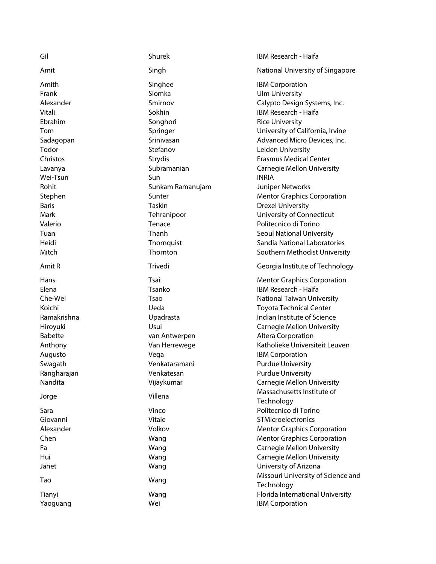| Gil            | Shurek           | IBM Research - Haifa               |
|----------------|------------------|------------------------------------|
| Amit           | Singh            | National University of Singapore   |
| Amith          | Singhee          | <b>IBM Corporation</b>             |
| Frank          | Slomka           | <b>Ulm University</b>              |
| Alexander      | Smirnov          | Calypto Design Systems, Inc.       |
| Vitali         | Sokhin           | IBM Research - Haifa               |
| Ebrahim        | Songhori         | <b>Rice University</b>             |
| Tom            | Springer         | University of California, Irvine   |
| Sadagopan      | Srinivasan       | Advanced Micro Devices, Inc.       |
| Todor          | Stefanov         | Leiden University                  |
| Christos       | Strydis          | <b>Erasmus Medical Center</b>      |
|                | Subramanian      |                                    |
| Lavanya        |                  | <b>Carnegie Mellon University</b>  |
| Wei-Tsun       | Sun              | <b>INRIA</b>                       |
| Rohit          | Sunkam Ramanujam | Juniper Networks                   |
| Stephen        | Sunter           | <b>Mentor Graphics Corporation</b> |
| <b>Baris</b>   | Taskin           | <b>Drexel University</b>           |
| Mark           | Tehranipoor      | University of Connecticut          |
| Valerio        | Tenace           | Politecnico di Torino              |
| Tuan           | Thanh            | <b>Seoul National University</b>   |
| Heidi          | Thornquist       | Sandia National Laboratories       |
| Mitch          | Thornton         | Southern Methodist University      |
| Amit R         | Trivedi          | Georgia Institute of Technology    |
| Hans           | Tsai             | <b>Mentor Graphics Corporation</b> |
| Elena          | Tsanko           | IBM Research - Haifa               |
| Che-Wei        | Tsao             | National Taiwan University         |
| Koichi         | Ueda             | <b>Toyota Technical Center</b>     |
| Ramakrishna    | Upadrasta        | Indian Institute of Science        |
| Hiroyuki       | Usui             | <b>Carnegie Mellon University</b>  |
| <b>Babette</b> | van Antwerpen    | Altera Corporation                 |
| Anthony        | Van Herrewege    | Katholieke Universiteit Leuven     |
| Augusto        | Vega             | <b>IBM Corporation</b>             |
| Swagath        | Venkataramani    | <b>Purdue University</b>           |
| Rangharajan    | Venkatesan       | <b>Purdue University</b>           |
| Nandita        | Vijaykumar       | <b>Carnegie Mellon University</b>  |
|                |                  | Massachusetts Institute of         |
| Jorge          | Villena          | Technology                         |
| Sara           | Vinco            | Politecnico di Torino              |
| Giovanni       | Vitale           | STMicroelectronics                 |
| Alexander      | Volkov           | <b>Mentor Graphics Corporation</b> |
| Chen           | Wang             | <b>Mentor Graphics Corporation</b> |
| Fa             | Wang             | <b>Carnegie Mellon University</b>  |
| Hui            |                  | <b>Carnegie Mellon University</b>  |
|                | Wang             |                                    |
| Janet          | Wang             | University of Arizona              |
| Tao            | Wang             | Missouri University of Science and |
|                |                  | Technology                         |
| Tianyi         | Wang             | Florida International University   |
| Yaoguang       | Wei              | <b>IBM Corporation</b>             |